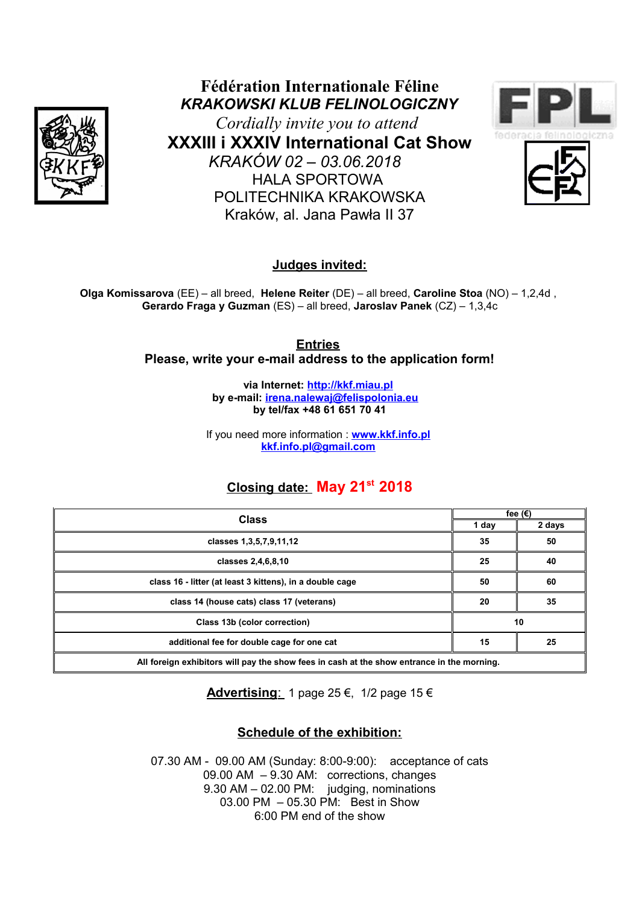

**Fédération Internationale Féline** *KRAKOWSKI KLUB FELINOLOGICZNY*

*Cordially invite you to attend*  **XXXIII i XXXIV International Cat Show** *KRAKÓW 02 – 03.06.2018*  HALA SPORTOWA POLITECHNIKA KRAKOWSKA Kraków, al. Jana Pawła II 37





**Judges invited:**

**Olga Komissarova** (EE) – all breed, **Helene Reiter** (DE) – all breed, **Caroline Stoa** (NO) – 1,2,4d , **Gerardo Fraga y Guzman** (ES) – all breed, **Jaroslav Panek** (CZ) – 1,3,4c

> **Entries Please, write your e-mail address to the application form!**

> > **via Internet: [http://kkf.miau.pl](http://kkf.miau.pl/) by e-mail: [irena.nalewaj@felispolonia.eu](mailto:irena.nalewaj@felispolonia.eu)  by tel/fax +48 61 651 70 41**

If you need more information : **[www.kkf.info.pl](http://www.kkf.info.pl/) [kkf.info.pl@gmail.com](mailto:kkf.info.pl@gmail.com)**

# **Closing date: May 21st 2018**

| <b>Class</b>                                                                               | fee $(€)$ |        |
|--------------------------------------------------------------------------------------------|-----------|--------|
|                                                                                            | 1 day     | 2 days |
| classes 1,3,5,7,9,11,12                                                                    | 35        | 50     |
| classes 2,4,6,8,10                                                                         | 25        | 40     |
| class 16 - litter (at least 3 kittens), in a double cage                                   | 50        | 60     |
| class 14 (house cats) class 17 (veterans)                                                  | 20        | 35     |
| Class 13b (color correction)                                                               | 10        |        |
| additional fee for double cage for one cat                                                 | 15        | 25     |
| All foreign exhibitors will pay the show fees in cash at the show entrance in the morning. |           |        |

 **Advertising**: 1 page 25 €, 1/2 page 15 €

# **Schedule of the exhibition:**

07.30 AM - 09.00 AM (Sunday: 8:00-9:00): acceptance of cats 09.00 AM – 9.30 AM: corrections, changes 9.30 AM – 02.00 PM: judging, nominations  $03.00$  PM  $-05.30$  PM: Best in Show 6:00 PM end of the show